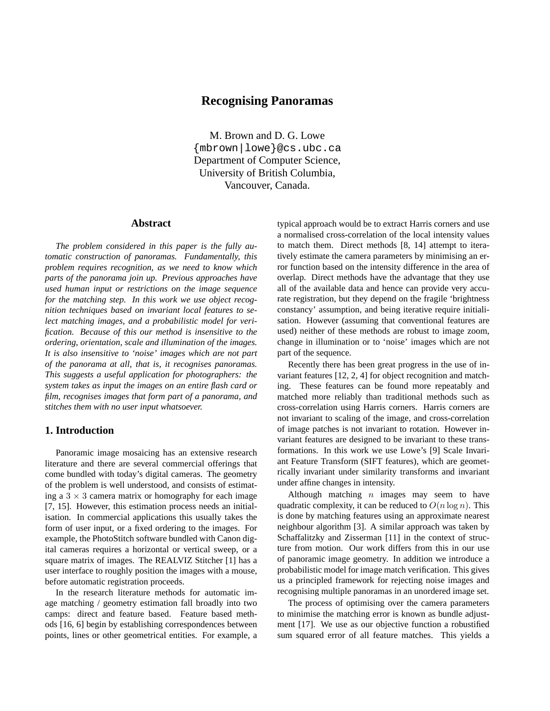# **Recognising Panoramas**

M. Brown and D. G. Lowe {mbrown|lowe}@cs.ubc.ca Department of Computer Science, University of British Columbia, Vancouver, Canada.

## **Abstract**

*The problem considered in this paper is the fully automatic construction of panoramas. Fundamentally, this problem requires recognition, as we need to know which parts of the panorama join up. Previous approaches have used human input or restrictions on the image sequence for the matching step. In this work we use object recognition techniques based on invariant local features to select matching images, and a probabilistic model for verification. Because of this our method is insensitive to the ordering, orientation, scale and illumination of the images. It is also insensitive to 'noise' images which are not part of the panorama at all, that is, it recognises panoramas. This suggests a useful application for photographers: the system takes as input the images on an entire flash card or film, recognises images that form part of a panorama, and stitches them with no user input whatsoever.*

## **1. Introduction**

Panoramic image mosaicing has an extensive research literature and there are several commercial offerings that come bundled with today's digital cameras. The geometry of the problem is well understood, and consists of estimating a  $3 \times 3$  camera matrix or homography for each image [7, 15]. However, this estimation process needs an initialisation. In commercial applications this usually takes the form of user input, or a fixed ordering to the images. For example, the PhotoStitch software bundled with Canon digital cameras requires a horizontal or vertical sweep, or a square matrix of images. The REALVIZ Stitcher [1] has a user interface to roughly position the images with a mouse, before automatic registration proceeds.

In the research literature methods for automatic image matching / geometry estimation fall broadly into two camps: direct and feature based. Feature based methods [16, 6] begin by establishing correspondences between points, lines or other geometrical entities. For example, a typical approach would be to extract Harris corners and use a normalised cross-correlation of the local intensity values to match them. Direct methods [8, 14] attempt to iteratively estimate the camera parameters by minimising an error function based on the intensity difference in the area of overlap. Direct methods have the advantage that they use all of the available data and hence can provide very accurate registration, but they depend on the fragile 'brightness constancy' assumption, and being iterative require initialisation. However (assuming that conventional features are used) neither of these methods are robust to image zoom, change in illumination or to 'noise' images which are not part of the sequence.

Recently there has been great progress in the use of invariant features [12, 2, 4] for object recognition and matching. These features can be found more repeatably and matched more reliably than traditional methods such as cross-correlation using Harris corners. Harris corners are not invariant to scaling of the image, and cross-correlation of image patches is not invariant to rotation. However invariant features are designed to be invariant to these transformations. In this work we use Lowe's [9] Scale Invariant Feature Transform (SIFT features), which are geometrically invariant under similarity transforms and invariant under affine changes in intensity.

Although matching  $n$  images may seem to have quadratic complexity, it can be reduced to  $O(n \log n)$ . This is done by matching features using an approximate nearest neighbour algorithm [3]. A similar approach was taken by Schaffalitzky and Zisserman [11] in the context of structure from motion. Our work differs from this in our use of panoramic image geometry. In addition we introduce a probabilistic model for image match verification. This gives us a principled framework for rejecting noise images and recognising multiple panoramas in an unordered image set.

The process of optimising over the camera parameters to minimise the matching error is known as bundle adjustment [17]. We use as our objective function a robustified sum squared error of all feature matches. This yields a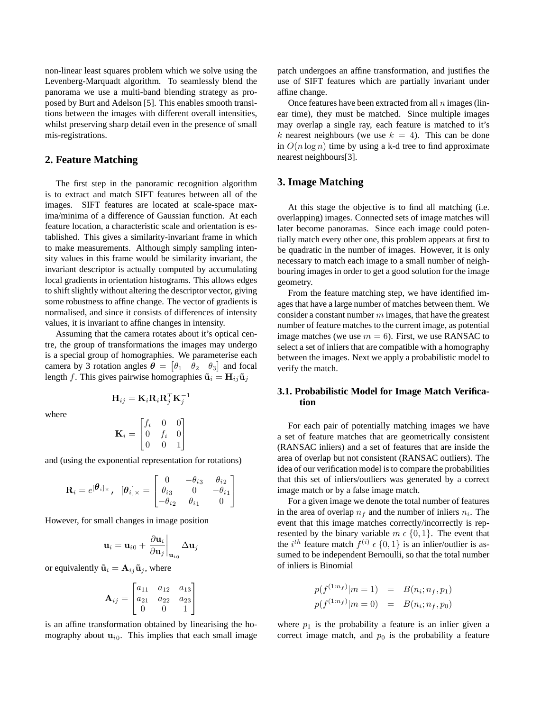non-linear least squares problem which we solve using the Levenberg-Marquadt algorithm. To seamlessly blend the panorama we use a multi-band blending strategy as proposed by Burt and Adelson [5]. This enables smooth transitions between the images with different overall intensities, whilst preserving sharp detail even in the presence of small mis-registrations.

### **2. Feature Matching**

The first step in the panoramic recognition algorithm is to extract and match SIFT features between all of the images. SIFT features are located at scale-space maxima/minima of a difference of Gaussian function. At each feature location, a characteristic scale and orientation is established. This gives a similarity-invariant frame in which to make measurements. Although simply sampling intensity values in this frame would be similarity invariant, the invariant descriptor is actually computed by accumulating local gradients in orientation histograms. This allows edges to shift slightly without altering the descriptor vector, giving some robustness to affine change. The vector of gradients is normalised, and since it consists of differences of intensity values, it is invariant to affine changes in intensity.

Assuming that the camera rotates about it's optical centre, the group of transformations the images may undergo is a special group of homographies. We parameterise each camera by 3 rotation angles  $\theta = \begin{bmatrix} \theta_1 & \theta_2 & \theta_3 \end{bmatrix}$  and focal length f. This gives pairwise homographies  $\tilde{\mathbf{u}}_i = \mathbf{H}_{ij}\tilde{\mathbf{u}}_j$ 

where

$$
\mathbf{K}_i = \begin{bmatrix} f_i & 0 & 0 \\ 0 & f_i & 0 \\ 0 & 0 & 1 \end{bmatrix}
$$

 $\mathbf{H}_{ij} = \mathbf{K}_i \mathbf{R}_i \mathbf{R}_j^T \mathbf{K}_j^{-1}$ 

and (using the exponential representation for rotations)

$$
\mathbf{R}_{i} = e^{[\boldsymbol{\theta}_{i}]_{\times}}, \ \ [\boldsymbol{\theta}_{i}]_{\times} = \begin{bmatrix} 0 & -\theta_{i3} & \theta_{i2} \\ \theta_{i3} & 0 & -\theta_{i1} \\ -\theta_{i2} & \theta_{i1} & 0 \end{bmatrix}
$$

However, for small changes in image position

$$
\mathbf{u}_i = \mathbf{u}_{i0} + \left. \frac{\partial \mathbf{u}_i}{\partial \mathbf{u}_j} \right|_{\mathbf{u}_{i0}} \Delta \mathbf{u}_j
$$

or equivalently  $\tilde{\mathbf{u}}_i = \mathbf{A}_{ij}\tilde{\mathbf{u}}_j$ , where

$$
\mathbf{A}_{ij} = \begin{bmatrix} a_{11} & a_{12} & a_{13} \\ a_{21} & a_{22} & a_{23} \\ 0 & 0 & 1 \end{bmatrix}
$$

is an affine transformation obtained by linearising the homography about  $\mathbf{u}_{i0}$ . This implies that each small image patch undergoes an affine transformation, and justifies the use of SIFT features which are partially invariant under affine change.

Once features have been extracted from all  $n$  images (linear time), they must be matched. Since multiple images may overlap a single ray, each feature is matched to it's k nearest neighbours (we use  $k = 4$ ). This can be done in  $O(n \log n)$  time by using a k-d tree to find approximate nearest neighbours[3].

## **3. Image Matching**

At this stage the objective is to find all matching (i.e. overlapping) images. Connected sets of image matches will later become panoramas. Since each image could potentially match every other one, this problem appears at first to be quadratic in the number of images. However, it is only necessary to match each image to a small number of neighbouring images in order to get a good solution for the image geometry.

From the feature matching step, we have identified images that have a large number of matches between them. We consider a constant number  $m$  images, that have the greatest number of feature matches to the current image, as potential image matches (we use  $m = 6$ ). First, we use RANSAC to select a set of inliers that are compatible with a homography between the images. Next we apply a probabilistic model to verify the match.

### **3.1. Probabilistic Model for Image Match Verification**

For each pair of potentially matching images we have a set of feature matches that are geometrically consistent (RANSAC inliers) and a set of features that are inside the area of overlap but not consistent (RANSAC outliers). The idea of our verification model is to compare the probabilities that this set of inliers/outliers was generated by a correct image match or by a false image match.

For a given image we denote the total number of features in the area of overlap  $n_f$  and the number of inliers  $n_i$ . The event that this image matches correctly/incorrectly is represented by the binary variable  $m \in \{0, 1\}$ . The event that the *i*<sup>th</sup> feature match  $f^{(i)} \in \{0, 1\}$  is an inlier/outlier is assumed to be independent Bernoulli, so that the total number of inliers is Binomial

$$
p(f^{(1:n_f)}|m=1) = B(n_i; n_f, p_1)
$$
  

$$
p(f^{(1:n_f)}|m=0) = B(n_i; n_f, p_0)
$$

where  $p_1$  is the probability a feature is an inlier given a correct image match, and  $p_0$  is the probability a feature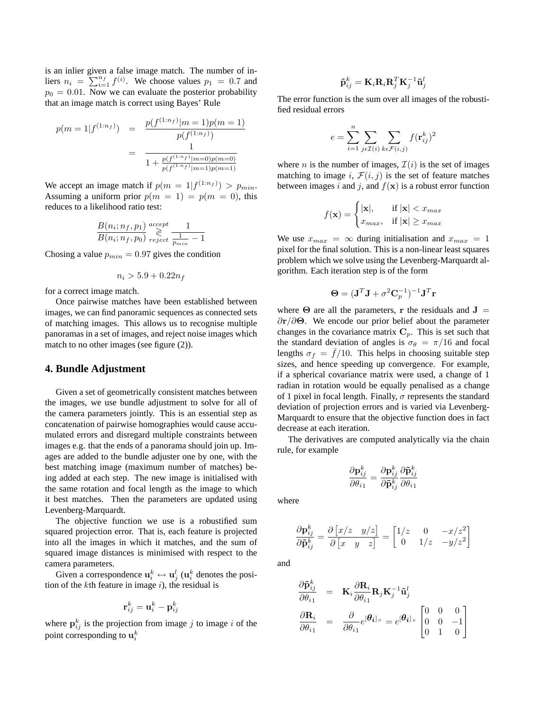is an inlier given a false image match. The number of inliers  $n_i = \sum_{i=1}^{n_f} f^{(i)}$ . We choose values  $p_1 = 0.7$  and  $p_0 = 0.01$ . Now we can evaluate the posterior probability that an image match is correct using Bayes' Rule

$$
p(m = 1|f^{(1:n_f)}) = \frac{p(f^{(1:n_f)}|m = 1)p(m = 1)}{p(f^{(1:n_f)})}
$$

$$
= \frac{1}{1 + \frac{p(f^{(1:n_f)}|m = 0)p(m = 0)}{p(f^{(1:n_f)}|m = 1)p(m = 1)}}
$$

We accept an image match if  $p(m = 1 | f^{(1:n_f)}) > p_{min}$ . Assuming a uniform prior  $p(m = 1) = p(m = 0)$ , this reduces to a likelihood ratio test:

$$
\frac{B(n_i; n_f, p_1)}{B(n_i; n_f, p_0)} \mathop{\gtrless}\limits_{reject} \frac{1}{\frac{1}{p_{min}} - 1}
$$

Chosing a value  $p_{min} = 0.97$  gives the condition

$$
n_i > 5.9 + 0.22n_f
$$

for a correct image match.

Once pairwise matches have been established between images, we can find panoramic sequences as connected sets of matching images. This allows us to recognise multiple panoramas in a set of images, and reject noise images which match to no other images (see figure  $(2)$ ).

#### **4. Bundle Adjustment**

Given a set of geometrically consistent matches between the images, we use bundle adjustment to solve for all of the camera parameters jointly. This is an essential step as concatenation of pairwise homographies would cause accumulated errors and disregard multiple constraints between images e.g. that the ends of a panorama should join up. Images are added to the bundle adjuster one by one, with the best matching image (maximum number of matches) being added at each step. The new image is initialised with the same rotation and focal length as the image to which it best matches. Then the parameters are updated using Levenberg-Marquardt.

The objective function we use is a robustified sum squared projection error. That is, each feature is projected into all the images in which it matches, and the sum of squared image distances is minimised with respect to the camera parameters.

Given a correspondence  $\mathbf{u}_i^k \leftrightarrow \mathbf{u}_j^l$  ( $\mathbf{u}_i^k$  denotes the position of the kth feature in image  $i$ ), the residual is

$$
\mathbf{r}_{ij}^k = \mathbf{u}_i^k - \mathbf{p}_{ij}^k
$$

where  $\mathbf{p}_{ij}^k$  is the projection from image j to image i of the point corresponding to  $\mathbf{u}_i^k$ 

$$
\mathbf{\tilde{p}}_{ij}^k = \mathbf{K}_i\mathbf{R}_i\mathbf{R}_j^T\mathbf{K}_j^{-1}\mathbf{\tilde{u}}_j^l
$$

The error function is the sum over all images of the robustified residual errors

$$
e = \sum_{i=1}^{n} \sum_{j \in \mathcal{I}(i)} \sum_{k \in \mathcal{F}(i,j)} f(\mathbf{r}_{ij}^k)^2
$$

where *n* is the number of images,  $\mathcal{I}(i)$  is the set of images matching to image i,  $\mathcal{F}(i, j)$  is the set of feature matches between images i and j, and  $f(\mathbf{x})$  is a robust error function

$$
f(\mathbf{x}) = \begin{cases} |\mathbf{x}|, & \text{if } |\mathbf{x}| < x_{max} \\ x_{max}, & \text{if } |\mathbf{x}| \ge x_{max} \end{cases}
$$

We use  $x_{max} = \infty$  during initialisation and  $x_{max} = 1$ pixel for the final solution. This is a non-linear least squares problem which we solve using the Levenberg-Marquardt algorithm. Each iteration step is of the form

$$
\mathbf{\Theta} = (\mathbf{J}^T \mathbf{J} + \sigma^2 \mathbf{C}_p^{-1})^{-1} \mathbf{J}^T \mathbf{r}
$$

where  $\Theta$  are all the parameters, r the residuals and  $J =$  $\partial$ r/∂Θ. We encode our prior belief about the parameter changes in the covariance matrix  $C_p$ . This is set such that the standard deviation of angles is  $\sigma_{\theta} = \pi/16$  and focal lengths  $\sigma_f = f/10$ . This helps in choosing suitable step sizes, and hence speeding up convergence. For example, if a spherical covariance matrix were used, a change of 1 radian in rotation would be equally penalised as a change of 1 pixel in focal length. Finally,  $\sigma$  represents the standard deviation of projection errors and is varied via Levenberg-Marquardt to ensure that the objective function does in fact decrease at each iteration.

The derivatives are computed analytically via the chain rule, for example

$$
\frac{\partial \mathbf{p}_{ij}^k}{\partial \theta_{i1}} = \frac{\partial \mathbf{p}_{ij}^k}{\partial \mathbf{\tilde{p}}_{ij}^k}\frac{\partial \mathbf{\tilde{p}}_{ij}^k}{\partial \theta_{i1}}
$$

where

$$
\frac{\partial \mathbf{p}_{ij}^k}{\partial \tilde{\mathbf{p}}_{ij}^k} = \frac{\partial [x/z \quad y/z]}{\partial [x \quad y \quad z]} = \begin{bmatrix} 1/z & 0 & -x/z^2 \\ 0 & 1/z & -y/z^2 \end{bmatrix}
$$

and

$$
\frac{\partial \tilde{\mathbf{p}}_{ij}^k}{\partial \theta_{i1}} = \mathbf{K}_i \frac{\partial \mathbf{R}_i}{\partial \theta_{i1}} \mathbf{R}_j \mathbf{K}_j^{-1} \tilde{\mathbf{u}}_j^l
$$
\n
$$
\frac{\partial \mathbf{R}_i}{\partial \theta_{i1}} = \frac{\partial}{\partial \theta_{i1}} e^{[\theta_i] \times} = e^{[\theta_i] \times} \begin{bmatrix} 0 & 0 & 0 \\ 0 & 0 & -1 \\ 0 & 1 & 0 \end{bmatrix}
$$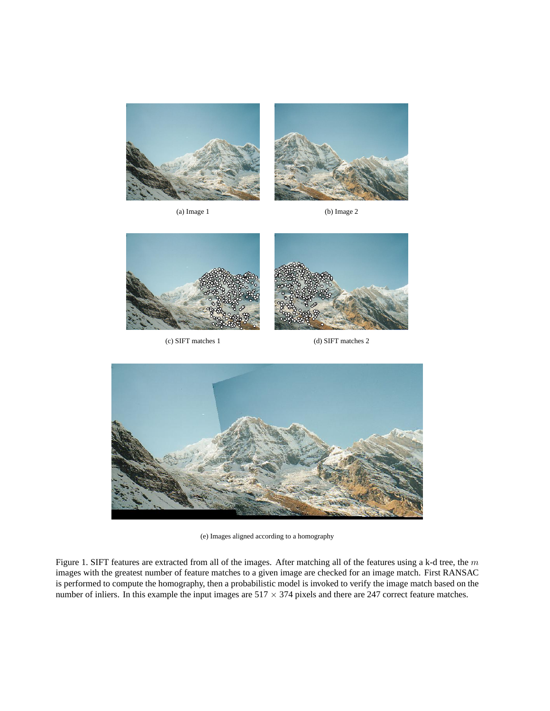



(a) Image 1 (b) Image 2





(c) SIFT matches 1 (d) SIFT matches 2



(e) Images aligned according to a homography

Figure 1. SIFT features are extracted from all of the images. After matching all of the features using a k-d tree, the  $m$ images with the greatest number of feature matches to a given image are checked for an image match. First RANSAC is performed to compute the homography, then a probabilistic model is invoked to verify the image match based on the number of inliers. In this example the input images are  $517 \times 374$  pixels and there are 247 correct feature matches.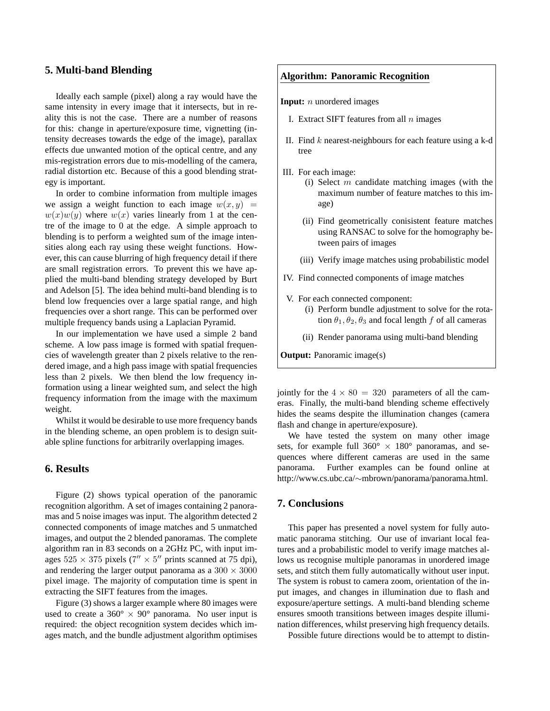## **5. Multi-band Blending**

Ideally each sample (pixel) along a ray would have the same intensity in every image that it intersects, but in reality this is not the case. There are a number of reasons for this: change in aperture/exposure time, vignetting (intensity decreases towards the edge of the image), parallax effects due unwanted motion of the optical centre, and any mis-registration errors due to mis-modelling of the camera, radial distortion etc. Because of this a good blending strategy is important.

In order to combine information from multiple images we assign a weight function to each image  $w(x, y)$  =  $w(x)w(y)$  where  $w(x)$  varies linearly from 1 at the centre of the image to 0 at the edge. A simple approach to blending is to perform a weighted sum of the image intensities along each ray using these weight functions. However, this can cause blurring of high frequency detail if there are small registration errors. To prevent this we have applied the multi-band blending strategy developed by Burt and Adelson [5]. The idea behind multi-band blending is to blend low frequencies over a large spatial range, and high frequencies over a short range. This can be performed over multiple frequency bands using a Laplacian Pyramid.

In our implementation we have used a simple 2 band scheme. A low pass image is formed with spatial frequencies of wavelength greater than 2 pixels relative to the rendered image, and a high pass image with spatial frequencies less than 2 pixels. We then blend the low frequency information using a linear weighted sum, and select the high frequency information from the image with the maximum weight.

Whilst it would be desirable to use more frequency bands in the blending scheme, an open problem is to design suitable spline functions for arbitrarily overlapping images.

#### **6. Results**

Figure (2) shows typical operation of the panoramic recognition algorithm. A set of images containing 2 panoramas and 5 noise images was input. The algorithm detected 2 connected components of image matches and 5 unmatched images, and output the 2 blended panoramas. The complete algorithm ran in 83 seconds on a 2GHz PC, with input images  $525 \times 375$  pixels  $(7'' \times 5''$  prints scanned at 75 dpi), and rendering the larger output panorama as a  $300 \times 3000$ pixel image. The majority of computation time is spent in extracting the SIFT features from the images.

Figure (3) shows a larger example where 80 images were used to create a  $360^{\circ} \times 90^{\circ}$  panorama. No user input is required: the object recognition system decides which images match, and the bundle adjustment algorithm optimises

## **Algorithm: Panoramic Recognition**

**Input:** *n* unordered images

- I. Extract SIFT features from all  $n$  images
- II. Find  $k$  nearest-neighbours for each feature using a  $k-d$ tree
- III. For each image:
	- (i) Select  $m$  candidate matching images (with the maximum number of feature matches to this image)
	- (ii) Find geometrically conisistent feature matches using RANSAC to solve for the homography between pairs of images
	- (iii) Verify image matches using probabilistic model
- IV. Find connected components of image matches
- V. For each connected component:
	- (i) Perform bundle adjustment to solve for the rotation  $\theta_1$ ,  $\theta_2$ ,  $\theta_3$  and focal length f of all cameras
	- (ii) Render panorama using multi-band blending

**Output:** Panoramic image(s)

jointly for the  $4 \times 80 = 320$  parameters of all the cameras. Finally, the multi-band blending scheme effectively hides the seams despite the illumination changes (camera flash and change in aperture/exposure).

We have tested the system on many other image sets, for example full  $360^{\circ} \times 180^{\circ}$  panoramas, and sequences where different cameras are used in the same panorama. Further examples can be found online at http://www.cs.ubc.ca/∼mbrown/panorama/panorama.html.

## **7. Conclusions**

This paper has presented a novel system for fully automatic panorama stitching. Our use of invariant local features and a probabilistic model to verify image matches allows us recognise multiple panoramas in unordered image sets, and stitch them fully automatically without user input. The system is robust to camera zoom, orientation of the input images, and changes in illumination due to flash and exposure/aperture settings. A multi-band blending scheme ensures smooth transitions between images despite illumination differences, whilst preserving high frequency details.

Possible future directions would be to attempt to distin-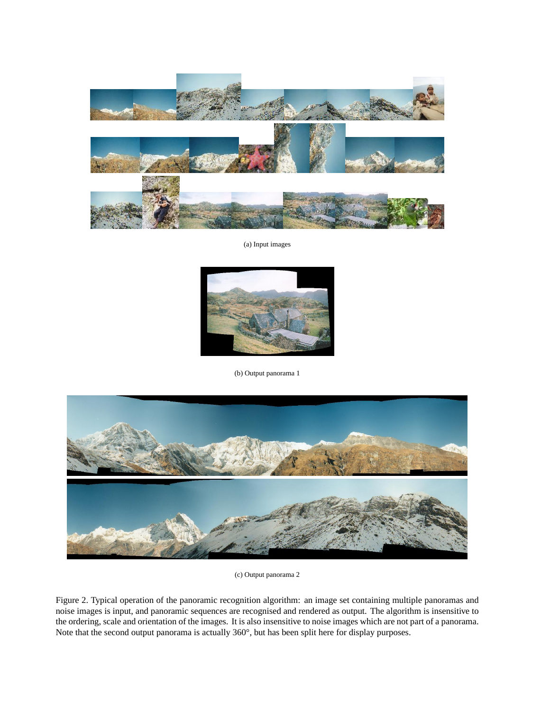

(a) Input images



(b) Output panorama 1



(c) Output panorama 2

Figure 2. Typical operation of the panoramic recognition algorithm: an image set containing multiple panoramas and noise images is input, and panoramic sequences are recognised and rendered as output. The algorithm is insensitive to the ordering, scale and orientation of the images. It is also insensitive to noise images which are not part of a panorama. Note that the second output panorama is actually 360°, but has been split here for display purposes.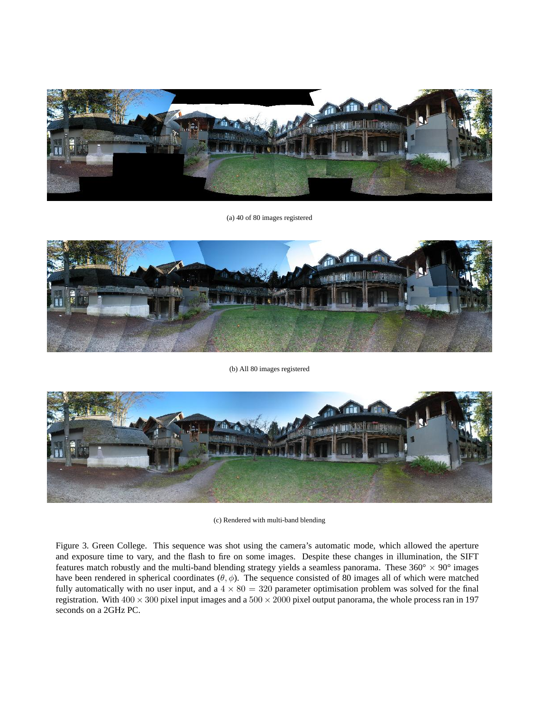

(a) 40 of 80 images registered



(b) All 80 images registered



(c) Rendered with multi-band blending

Figure 3. Green College. This sequence was shot using the camera's automatic mode, which allowed the aperture and exposure time to vary, and the flash to fire on some images. Despite these changes in illumination, the SIFT features match robustly and the multi-band blending strategy yields a seamless panorama. These  $360^{\circ} \times 90^{\circ}$  images have been rendered in spherical coordinates  $(\theta, \phi)$ . The sequence consisted of 80 images all of which were matched fully automatically with no user input, and a  $4 \times 80 = 320$  parameter optimisation problem was solved for the final registration. With  $400 \times 300$  pixel input images and a  $500 \times 2000$  pixel output panorama, the whole process ran in 197 seconds on a 2GHz PC.